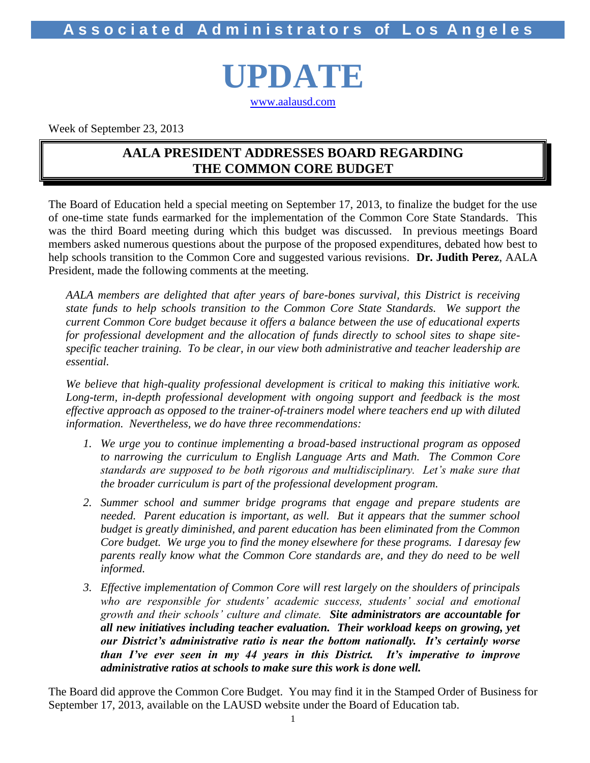**A s s o c i a t e d A d m i n i s t r a t o r s of L o s A n g e l e s**

# **UPDATE** [www.aalausd.com](http://www.aalausd.com/)

Week of September 23, 2013

## **AALA PRESIDENT ADDRESSES BOARD REGARDING THE COMMON CORE BUDGET**

The Board of Education held a special meeting on September 17, 2013, to finalize the budget for the use of one-time state funds earmarked for the implementation of the Common Core State Standards. This was the third Board meeting during which this budget was discussed. In previous meetings Board members asked numerous questions about the purpose of the proposed expenditures, debated how best to help schools transition to the Common Core and suggested various revisions. **Dr. Judith Perez**, AALA President, made the following comments at the meeting.

*AALA members are delighted that after years of bare-bones survival, this District is receiving state funds to help schools transition to the Common Core State Standards. We support the current Common Core budget because it offers a balance between the use of educational experts for professional development and the allocation of funds directly to school sites to shape sitespecific teacher training. To be clear, in our view both administrative and teacher leadership are essential.*

*We believe that high-quality professional development is critical to making this initiative work. Long-term, in-depth professional development with ongoing support and feedback is the most effective approach as opposed to the trainer-of-trainers model where teachers end up with diluted information. Nevertheless, we do have three recommendations:*

- *1. We urge you to continue implementing a broad-based instructional program as opposed to narrowing the curriculum to English Language Arts and Math. The Common Core standards are supposed to be both rigorous and multidisciplinary. Let's make sure that the broader curriculum is part of the professional development program.*
- *2. Summer school and summer bridge programs that engage and prepare students are needed. Parent education is important, as well. But it appears that the summer school budget is greatly diminished, and parent education has been eliminated from the Common Core budget. We urge you to find the money elsewhere for these programs. I daresay few*  parents really know what the Common Core standards are, and they do need to be well *informed.*
- *3. Effective implementation of Common Core will rest largely on the shoulders of principals*  who are responsible for students' academic success, students' social and emotional *growth and their schools' culture and climate. Site administrators are accountable for all new initiatives including teacher evaluation. Their workload keeps on growing, yet our District's administrative ratio is near the bottom nationally. It's certainly worse than I've ever seen in my 44 years in this District. It's imperative to improve administrative ratios at schools to make sure this work is done well.*

The Board did approve the Common Core Budget. You may find it in the Stamped Order of Business for September 17, 2013, available on the LAUSD website under the Board of Education tab.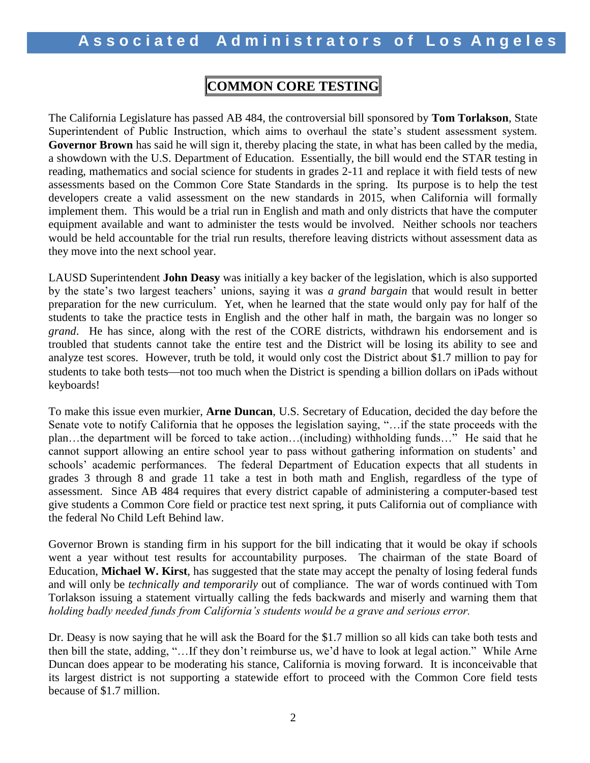# **COMMON CORE TESTING**

The California Legislature has passed AB 484, the controversial bill sponsored by **Tom Torlakson**, State Superintendent of Public Instruction, which aims to overhaul the state's student assessment system. **Governor Brown** has said he will sign it, thereby placing the state, in what has been called by the media, a showdown with the U.S. Department of Education. Essentially, the bill would end the STAR testing in reading, mathematics and social science for students in grades 2-11 and replace it with field tests of new assessments based on the Common Core State Standards in the spring. Its purpose is to help the test developers create a valid assessment on the new standards in 2015, when California will formally implement them. This would be a trial run in English and math and only districts that have the computer equipment available and want to administer the tests would be involved. Neither schools nor teachers would be held accountable for the trial run results, therefore leaving districts without assessment data as they move into the next school year.

LAUSD Superintendent **John Deasy** was initially a key backer of the legislation, which is also supported by the state's two largest teachers' unions, saying it was *a grand bargain* that would result in better preparation for the new curriculum. Yet, when he learned that the state would only pay for half of the students to take the practice tests in English and the other half in math, the bargain was no longer so *grand*. He has since, along with the rest of the CORE districts, withdrawn his endorsement and is troubled that students cannot take the entire test and the District will be losing its ability to see and analyze test scores. However, truth be told, it would only cost the District about \$1.7 million to pay for students to take both tests—not too much when the District is spending a billion dollars on iPads without keyboards!

To make this issue even murkier, **Arne Duncan**, U.S. Secretary of Education, decided the day before the Senate vote to notify California that he opposes the legislation saying, "…if the state proceeds with the plan…the department will be forced to take action…(including) withholding funds…" He said that he cannot support allowing an entire school year to pass without gathering information on students' and schools' academic performances. The federal Department of Education expects that all students in grades 3 through 8 and grade 11 take a test in both math and English, regardless of the type of assessment. Since AB 484 requires that every district capable of administering a computer-based test give students a Common Core field or practice test next spring, it puts California out of compliance with the federal No Child Left Behind law.

Governor Brown is standing firm in his support for the bill indicating that it would be okay if schools went a year without test results for accountability purposes. The chairman of the state Board of Education, **Michael W. Kirst**, has suggested that the state may accept the penalty of losing federal funds and will only be *technically and temporarily* out of compliance. The war of words continued with Tom Torlakson issuing a statement virtually calling the feds backwards and miserly and warning them that *holding badly needed funds from California's students would be a grave and serious error.* 

Dr. Deasy is now saying that he will ask the Board for the \$1.7 million so all kids can take both tests and then bill the state, adding, "…If they don't reimburse us, we'd have to look at legal action." While Arne Duncan does appear to be moderating his stance, California is moving forward. It is inconceivable that its largest district is not supporting a statewide effort to proceed with the Common Core field tests because of \$1.7 million.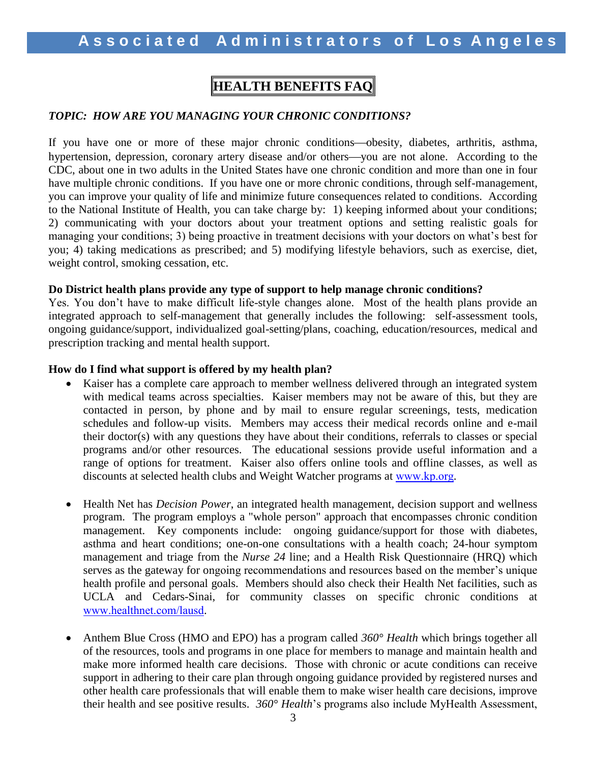# **HEALTH BENEFITS FAQ**

#### *TOPIC: HOW ARE YOU MANAGING YOUR CHRONIC CONDITIONS?*

If you have one or more of these major chronic conditions—obesity, diabetes, arthritis, asthma, hypertension, depression, coronary artery disease and/or others—you are not alone. According to the CDC, about one in two adults in the United States have one chronic condition and more than one in four have multiple chronic conditions. If you have one or more chronic conditions, through self-management, you can improve your quality of life and minimize future consequences related to conditions. According to the National Institute of Health, you can take charge by: 1) keeping informed about your conditions; 2) communicating with your doctors about your treatment options and setting realistic goals for managing your conditions; 3) being proactive in treatment decisions with your doctors on what's best for you; 4) taking medications as prescribed; and 5) modifying lifestyle behaviors, such as exercise, diet, weight control, smoking cessation, etc.

#### **Do District health plans provide any type of support to help manage chronic conditions?**

Yes. You don't have to make difficult life-style changes alone. Most of the health plans provide an integrated approach to self-management that generally includes the following: self-assessment tools, ongoing guidance/support, individualized goal-setting/plans, coaching, education/resources, medical and prescription tracking and mental health support.

#### **How do I find what support is offered by my health plan?**

- Kaiser has a complete care approach to member wellness delivered through an integrated system with medical teams across specialties. Kaiser members may not be aware of this, but they are contacted in person, by phone and by mail to ensure regular screenings, tests, medication schedules and follow-up visits. Members may access their medical records online and e-mail their doctor(s) with any questions they have about their conditions, referrals to classes or special programs and/or other resources. The educational sessions provide useful information and a range of options for treatment. Kaiser also offers online tools and offline classes, as well as discounts at selected health clubs and Weight Watcher programs at [www.kp.org](http://www.kp.org/).
- Health Net has *Decision Power*, an integrated health management, decision support and wellness program. The program employs a "whole person" approach that encompasses chronic condition management. Key components include: ongoing guidance/support for those with diabetes, asthma and heart conditions; one-on-one consultations with a health coach; 24-hour symptom management and triage from the *Nurse 24* line; and a Health Risk Questionnaire (HRQ) which serves as the gateway for ongoing recommendations and resources based on the member's unique health profile and personal goals. Members should also check their Health Net facilities, such as UCLA and Cedars-Sinai, for community classes on specific chronic conditions at [www.healthnet.com/lausd](http://www.healthnet.com/lausd).
- Anthem Blue Cross (HMO and EPO) has a program called *360° Health* which brings together all of the resources, tools and programs in one place for members to manage and maintain health and make more informed health care decisions. Those with chronic or acute conditions can receive support in adhering to their care plan through ongoing guidance provided by registered nurses and other health care professionals that will enable them to make wiser health care decisions, improve their health and see positive results. *360° Health*'s programs also include MyHealth Assessment,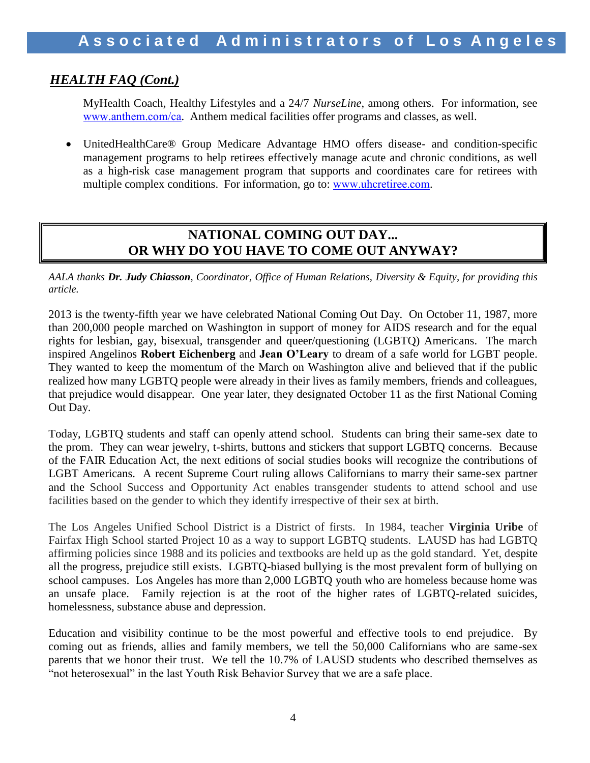## *HEALTH FAQ (Cont.)*

MyHealth Coach, Healthy Lifestyles and a 24/7 *NurseLine*, among others. For information, see [www.anthem.com/ca](http://www.anthem.com/ca). Anthem medical facilities offer programs and classes, as well.

 UnitedHealthCare® Group Medicare Advantage HMO offers disease- and condition-specific management programs to help retirees effectively manage acute and chronic conditions, as well as a high-risk case management program that supports and coordinates care for retirees with multiple complex conditions. For information, go to: [www.uhcretiree.com](http://www.uhcretiree.com/).

## **NATIONAL COMING OUT DAY... OR WHY DO YOU HAVE TO COME OUT ANYWAY?**

*AALA thanks Dr. Judy Chiasson, Coordinator, Office of Human Relations, Diversity & Equity, for providing this article.*

2013 is the twenty-fifth year we have celebrated National Coming Out Day. On October 11, 1987, more than 200,000 people marched on Washington in support of money for AIDS research and for the equal rights for lesbian, gay, bisexual, transgender and queer/questioning (LGBTQ) Americans. The march inspired Angelinos **Robert Eichenberg** and **Jean O'Leary** to dream of a safe world for LGBT people. They wanted to keep the momentum of the March on Washington alive and believed that if the public realized how many LGBTQ people were already in their lives as family members, friends and colleagues, that prejudice would disappear. One year later, they designated October 11 as the first National Coming Out Day.

Today, LGBTQ students and staff can openly attend school. Students can bring their same-sex date to the prom. They can wear jewelry, t-shirts, buttons and stickers that support LGBTQ concerns. Because of the FAIR Education Act, the next editions of social studies books will recognize the contributions of LGBT Americans. A recent Supreme Court ruling allows Californians to marry their same-sex partner and the School Success and Opportunity Act enables transgender students to attend school and use facilities based on the gender to which they identify irrespective of their sex at birth.

The Los Angeles Unified School District is a District of firsts. In 1984, teacher **Virginia Uribe** of Fairfax High School started Project 10 as a way to support LGBTQ students. LAUSD has had LGBTQ affirming policies since 1988 and its policies and textbooks are held up as the gold standard. Yet, despite all the progress, prejudice still exists. LGBTQ-biased bullying is the most prevalent form of bullying on school campuses. Los Angeles has more than 2,000 LGBTQ youth who are homeless because home was an unsafe place. Family rejection is at the root of the higher rates of LGBTQ-related suicides, homelessness, substance abuse and depression.

Education and visibility continue to be the most powerful and effective tools to end prejudice. By coming out as friends, allies and family members, we tell the 50,000 Californians who are same-sex parents that we honor their trust. We tell the 10.7% of LAUSD students who described themselves as "not heterosexual" in the last Youth Risk Behavior Survey that we are a safe place.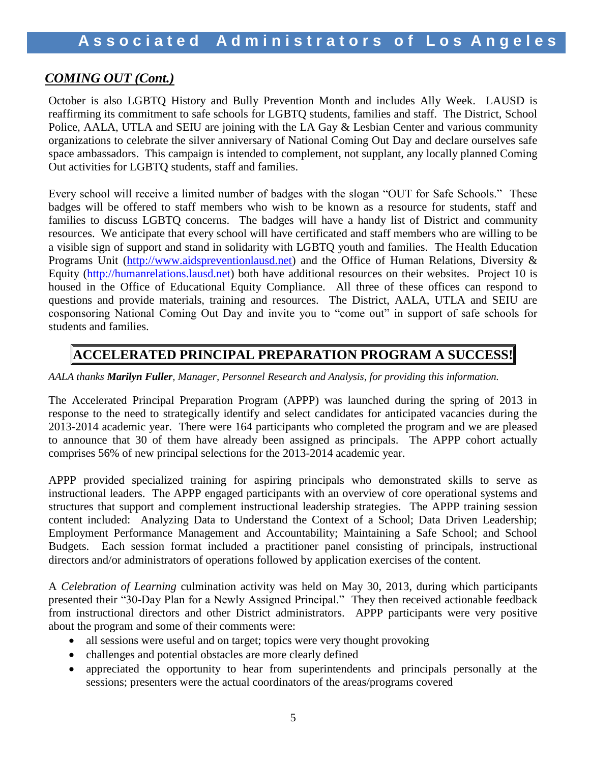## *COMING OUT (Cont.)*

October is also LGBTQ History and Bully Prevention Month and includes Ally Week. LAUSD is reaffirming its commitment to safe schools for LGBTQ students, families and staff. The District, School Police, AALA, UTLA and SEIU are joining with the LA Gay & Lesbian Center and various community organizations to celebrate the silver anniversary of National Coming Out Day and declare ourselves safe space ambassadors. This campaign is intended to complement, not supplant, any locally planned Coming Out activities for LGBTQ students, staff and families.

Every school will receive a limited number of badges with the slogan "OUT for Safe Schools." These badges will be offered to staff members who wish to be known as a resource for students, staff and families to discuss LGBTQ concerns. The badges will have a handy list of District and community resources. We anticipate that every school will have certificated and staff members who are willing to be a visible sign of support and stand in solidarity with LGBTQ youth and families. The Health Education Programs Unit [\(http://www.aidspreventionlausd.net\)](http://www.aidspreventionlausd.net/) and the Office of Human Relations, Diversity & Equity [\(http://humanrelations.lausd.net\)](http://humanrelations.lausd.net/) both have additional resources on their websites. Project 10 is housed in the Office of Educational Equity Compliance. All three of these offices can respond to questions and provide materials, training and resources. The District, AALA, UTLA and SEIU are cosponsoring National Coming Out Day and invite you to "come out" in support of safe schools for students and families.

# **ACCELERATED PRINCIPAL PREPARATION PROGRAM A SUCCESS!**

*AALA thanks Marilyn Fuller, Manager, Personnel Research and Analysis, for providing this information.*

The Accelerated Principal Preparation Program (APPP) was launched during the spring of 2013 in response to the need to strategically identify and select candidates for anticipated vacancies during the 2013-2014 academic year. There were 164 participants who completed the program and we are pleased to announce that 30 of them have already been assigned as principals. The APPP cohort actually comprises 56% of new principal selections for the 2013-2014 academic year.

APPP provided specialized training for aspiring principals who demonstrated skills to serve as instructional leaders. The APPP engaged participants with an overview of core operational systems and structures that support and complement instructional leadership strategies. The APPP training session content included: Analyzing Data to Understand the Context of a School; Data Driven Leadership; Employment Performance Management and Accountability; Maintaining a Safe School; and School Budgets. Each session format included a practitioner panel consisting of principals, instructional directors and/or administrators of operations followed by application exercises of the content.

A *Celebration of Learning* culmination activity was held on May 30, 2013, during which participants presented their "30-Day Plan for a Newly Assigned Principal." They then received actionable feedback from instructional directors and other District administrators. APPP participants were very positive about the program and some of their comments were:

- all sessions were useful and on target; topics were very thought provoking
- challenges and potential obstacles are more clearly defined
- appreciated the opportunity to hear from superintendents and principals personally at the sessions; presenters were the actual coordinators of the areas/programs covered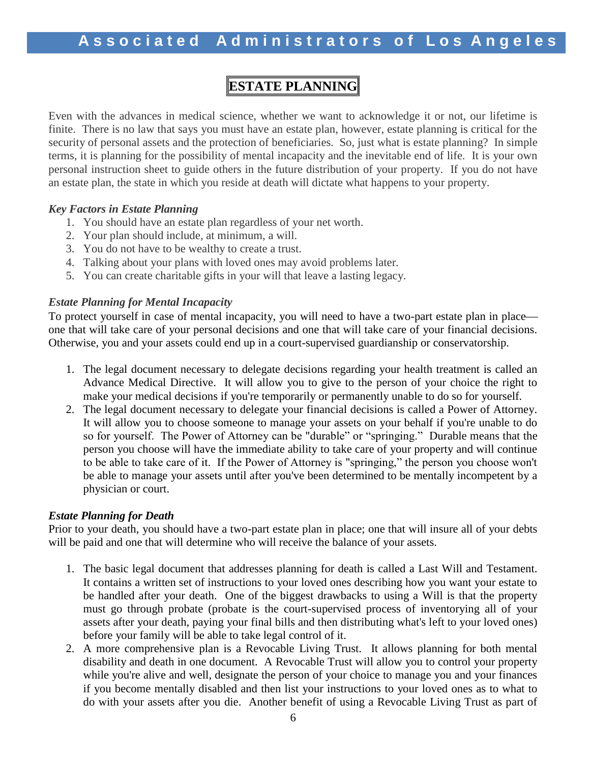# **ESTATE PLANNING**

Even with the advances in medical science, whether we want to acknowledge it or not, our lifetime is finite. There is no law that says you must have an estate plan, however, estate planning is critical for the security of personal assets and the protection of beneficiaries. So, just what is estate planning? In simple terms, it is planning for the possibility of mental incapacity and the inevitable end of life. It is your own personal instruction sheet to guide others in the future distribution of your property. If you do not have an estate plan, the state in which you reside at death will dictate what happens to your property.

#### *Key Factors in Estate Planning*

- 1. You should have an estate plan regardless of your net worth.
- 2. Your plan should include, at minimum, a will.
- 3. You do not have to be wealthy to create a trust.
- 4. Talking about your plans with loved ones may avoid problems later.
- 5. You can create charitable gifts in your will that leave a lasting legacy.

### *Estate Planning for Mental Incapacity*

To protect yourself in case of mental incapacity, you will need to have a two-part estate plan in place one that will take care of your personal decisions and one that will take care of your financial decisions. Otherwise, you and your assets could end up in a court-supervised guardianship or conservatorship.

- 1. The legal document necessary to delegate decisions regarding your health treatment is called an Advance Medical Directive. It will allow you to give to the person of your choice the right to make your medical decisions if you're temporarily or permanently unable to do so for yourself.
- 2. The legal document necessary to delegate your financial decisions is called a Power of Attorney. It will allow you to choose someone to manage your assets on your behalf if you're unable to do so for yourself. The Power of Attorney can be "durable" or "springing." Durable means that the person you choose will have the immediate ability to take care of your property and will continue to be able to take care of it. If the Power of Attorney is "springing," the person you choose won't be able to manage your assets until after you've been determined to be mentally incompetent by a physician or court.

#### *Estate Planning for Death*

Prior to your death, you should have a two-part estate plan in place; one that will insure all of your debts will be paid and one that will determine who will receive the balance of your assets.

- 1. The basic legal document that addresses planning for death is called a Last Will and Testament. It contains a written set of instructions to your loved ones describing how you want your estate to be handled after your death. One of the biggest drawbacks to using a Will is that the property must go through probate (probate is the court-supervised process of inventorying all of your assets after your death, paying your final bills and then distributing what's left to your loved ones) before your family will be able to take legal control of it.
- 2. A more comprehensive plan is a Revocable Living Trust. It allows planning for both mental disability and death in one document. A Revocable Trust will allow you to control your property while you're alive and well, designate the person of your choice to manage you and your finances if you become mentally disabled and then list your instructions to your loved ones as to what to do with your assets after you die. Another benefit of using a Revocable Living Trust as part of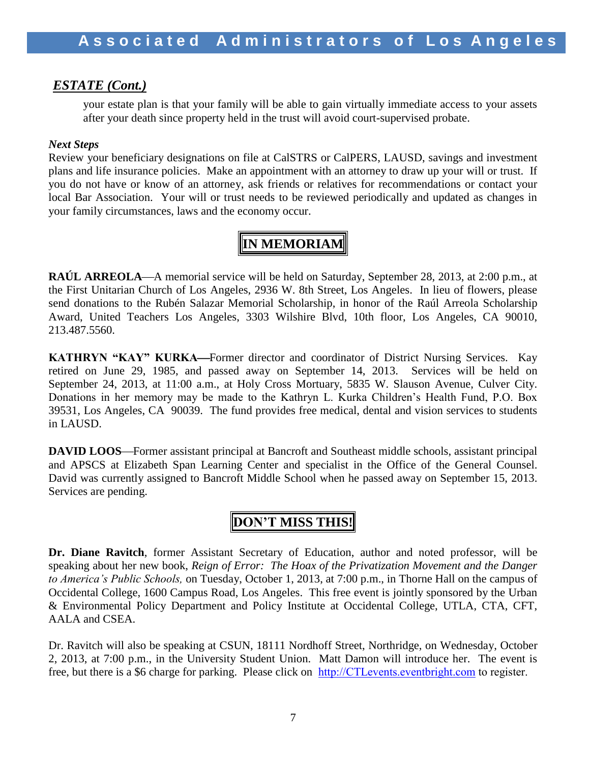### *ESTATE (Cont.)*

your estate plan is that your family will be able to gain virtually immediate access to your assets after your death since property held in the trust will avoid court-supervised probate.

#### *Next Steps*

Review your beneficiary designations on file at CalSTRS or CalPERS, LAUSD, savings and investment plans and life insurance policies. Make an appointment with an attorney to draw up your will or trust. If you do not have or know of an attorney, ask friends or relatives for recommendations or contact your local Bar Association. Your will or trust needs to be reviewed periodically and updated as changes in your family circumstances, laws and the economy occur.

# **IN MEMORIAM**

**RAÚL ARREOLA—A** memorial service will be held on Saturday, September 28, 2013, at 2:00 p.m., at the First Unitarian Church of Los Angeles, 2936 W. 8th Street, Los Angeles. In lieu of flowers, please send donations to the Rubén Salazar Memorial Scholarship, in honor of the Raúl Arreola Scholarship Award, United Teachers Los Angeles, 3303 Wilshire Blvd, 10th floor, Los Angeles, CA 90010, 213.487.5560.

**KATHRYN "KAY" KURKA—Former director and coordinator of District Nursing Services. Kay** retired on June 29, 1985, and passed away on September 14, 2013. Services will be held on September 24, 2013, at 11:00 a.m., at Holy Cross Mortuary, 5835 W. Slauson Avenue, Culver City. Donations in her memory may be made to the Kathryn L. Kurka Children's Health Fund, P.O. Box 39531, Los Angeles, CA 90039. The fund provides free medical, dental and vision services to students in LAUSD.

**DAVID LOOS**—Former assistant principal at Bancroft and Southeast middle schools, assistant principal and APSCS at Elizabeth Span Learning Center and specialist in the Office of the General Counsel. David was currently assigned to Bancroft Middle School when he passed away on September 15, 2013. Services are pending.

# **DON'T MISS THIS!**

**Dr. Diane Ravitch**, former Assistant Secretary of Education, author and noted professor, will be speaking about her new book, *Reign of Error: The Hoax of the Privatization Movement and the Danger to America's Public Schools,* on Tuesday, October 1, 2013, at 7:00 p.m., in Thorne Hall on the campus of Occidental College, 1600 Campus Road, Los Angeles. This free event is jointly sponsored by the Urban & Environmental Policy Department and Policy Institute at Occidental College, UTLA, CTA, CFT, AALA and CSEA.

Dr. Ravitch will also be speaking at CSUN, 18111 Nordhoff Street, Northridge, on Wednesday, October 2, 2013, at 7:00 p.m., in the University Student Union. Matt Damon will introduce her. The event is free, but there is a \$6 charge for parking. Please click on [http://CTLevents.eventbright.com](http://ctlevents.eventbright.com/) to register.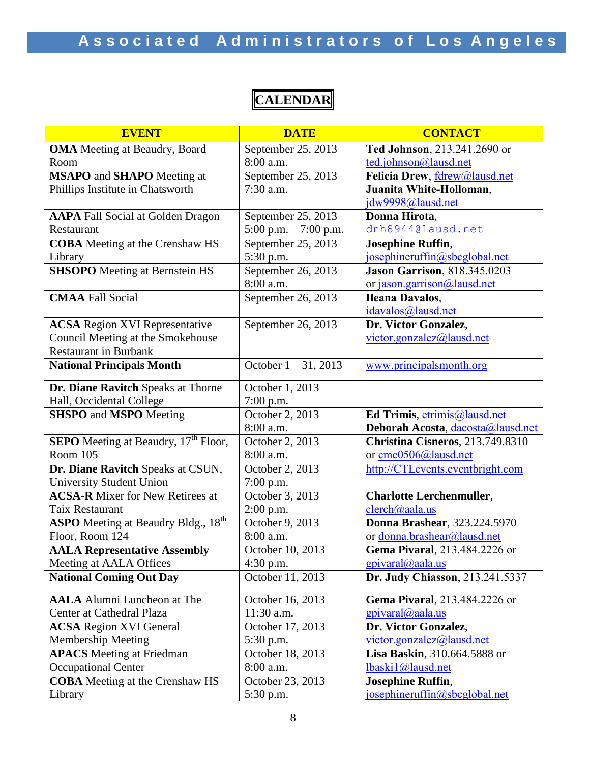**CALENDAR**

| <b>EVENT</b>                                            | <b>DATE</b>             | <b>CONTACT</b>                       |
|---------------------------------------------------------|-------------------------|--------------------------------------|
| <b>OMA</b> Meeting at Beaudry, Board                    | September 25, 2013      | Ted Johnson, 213.241.2690 or         |
| Room                                                    | 8:00 a.m.               | ted.johnson@lausd.net                |
| <b>MSAPO</b> and <b>SHAPO</b> Meeting at                | September 25, 2013      | Felicia Drew, fdrew@lausd.net        |
| Phillips Institute in Chatsworth                        | $7:30$ a.m.             | Juanita White-Holloman,              |
|                                                         |                         | jdw9998@lausd.net                    |
| <b>AAPA</b> Fall Social at Golden Dragon                | September 25, 2013      | Donna Hirota,                        |
| Restaurant                                              | 5:00 p.m. $-7:00$ p.m.  | dnh8944@lausd.net                    |
| <b>COBA</b> Meeting at the Crenshaw HS                  | September 25, 2013      | <b>Josephine Ruffin,</b>             |
| Library                                                 | 5:30 p.m.               | josephineruffin@sbcglobal.net        |
| <b>SHSOPO</b> Meeting at Bernstein HS                   | September 26, 2013      | <b>Jason Garrison</b> , 818.345.0203 |
|                                                         | 8:00 a.m.               | or jason.garrison@lausd.net          |
| <b>CMAA</b> Fall Social                                 | September 26, 2013      | <b>Ileana Davalos,</b>               |
|                                                         |                         | idavalos@lausd.net                   |
| <b>ACSA</b> Region XVI Representative                   | September 26, 2013      | Dr. Victor Gonzalez,                 |
| Council Meeting at the Smokehouse                       |                         | victor.gonzalez@lausd.net            |
| <b>Restaurant in Burbank</b>                            |                         |                                      |
| <b>National Principals Month</b>                        | October $1 - 31$ , 2013 | www.principalsmonth.org              |
| Dr. Diane Ravitch Speaks at Thorne                      | October 1, 2013         |                                      |
| Hall, Occidental College                                | $7:00$ p.m.             |                                      |
| <b>SHSPO</b> and <b>MSPO</b> Meeting                    | October 2, 2013         | Ed Trimis, etrimis@lausd.net         |
|                                                         | 8:00 a.m.               | Deborah Acosta, dacosta@lausd.net    |
| <b>SEPO</b> Meeting at Beaudry, 17 <sup>th</sup> Floor, | October 2, 2013         | Christina Cisneros, 213.749.8310     |
| Room 105                                                | 8:00 a.m.               | or cmc0506@lausd.net                 |
| Dr. Diane Ravitch Speaks at CSUN,                       | October 2, 2013         | http://CTLevents.eventbright.com     |
| <b>University Student Union</b>                         | $7:00$ p.m.             |                                      |
| <b>ACSA-R</b> Mixer for New Retirees at                 | October 3, 2013         | <b>Charlotte Lerchenmuller,</b>      |
| <b>Taix Restaurant</b>                                  | $2:00$ p.m.             | $clench(a)$ aala.us                  |
| <b>ASPO</b> Meeting at Beaudry Bldg., 18 <sup>th</sup>  | October 9, 2013         | <b>Donna Brashear</b> , 323.224.5970 |
| Floor, Room 124                                         | 8:00 a.m.               | or donna.brashear@lausd.net          |
| <b>AALA Representative Assembly</b>                     | October 10, 2013        | Gema Pivaral, 213.484.2226 or        |
| Meeting at AALA Offices                                 | $4:30$ p.m.             | $g$ pivaral@aala.us                  |
| <b>National Coming Out Day</b>                          | October 11, 2013        | Dr. Judy Chiasson, 213.241.5337      |
| <b>AALA</b> Alumni Luncheon at The                      | October 16, 2013        | Gema Pivaral, 213.484.2226 or        |
| Center at Cathedral Plaza                               | 11:30 a.m.              | $g$ pivaral@aala.us                  |
| <b>ACSA Region XVI General</b>                          | October 17, 2013        | Dr. Victor Gonzalez,                 |
| <b>Membership Meeting</b>                               | 5:30 p.m.               | victor.gonzalez@lausd.net            |
| <b>APACS</b> Meeting at Friedman                        | October 18, 2013        | Lisa Baskin, 310.664.5888 or         |
| <b>Occupational Center</b>                              | 8:00 a.m.               | lbaski1@lausd.net                    |
| <b>COBA</b> Meeting at the Crenshaw HS                  | October 23, 2013        | <b>Josephine Ruffin,</b>             |
| Library                                                 | 5:30 p.m.               | josephineruffin@sbcglobal.net        |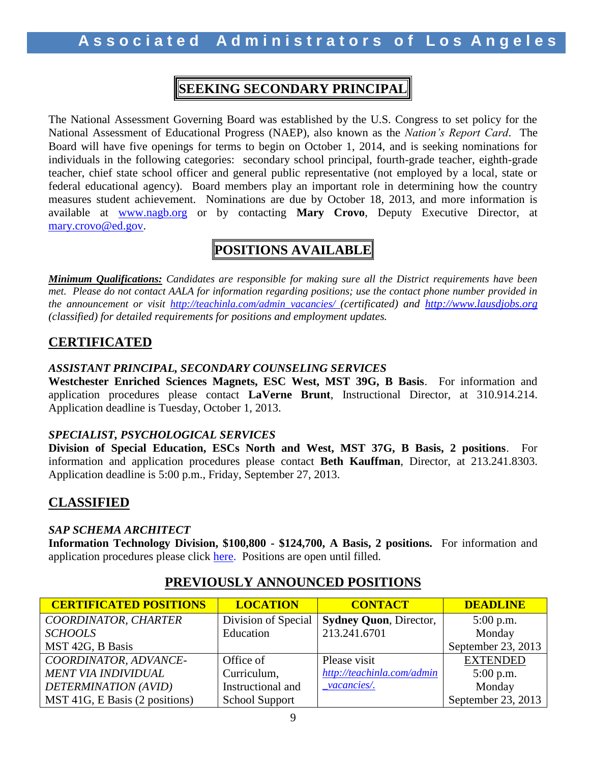# **SEEKING SECONDARY PRINCIPAL**

The National Assessment Governing Board was established by the U.S. Congress to set policy for the National Assessment of Educational Progress (NAEP), also known as the *Nation's Report Card*. The Board will have five openings for terms to begin on October 1, 2014, and is seeking nominations for individuals in the following categories: secondary school principal, fourth-grade teacher, eighth-grade teacher, chief state school officer and general public representative (not employed by a local, state or federal educational agency). Board members play an important role in determining how the country measures student achievement. Nominations are due by October 18, 2013, and more information is available at [www.nagb.org](http://www.nagb.org/) or by contacting **Mary Crovo**, Deputy Executive Director, at [mary.crovo@ed.gov.](mailto:mary.crovo@ed.gov)

# **POSITIONS AVAILABLE**

*Minimum Qualifications: Candidates are responsible for making sure all the District requirements have been met. Please do not contact AALA for information regarding positions; use the contact phone number provided in the announcement or visit [http://teachinla.com/admin\\_vacancies/](http://teachinla.com/admin_vacancies/) (certificated) and [http://www.lausdjobs.org](http://www.lausdjobs.org/)  (classified) for detailed requirements for positions and employment updates.*

## **CERTIFICATED**

### *ASSISTANT PRINCIPAL, SECONDARY COUNSELING SERVICES*

**Westchester Enriched Sciences Magnets, ESC West, MST 39G, B Basis**. For information and application procedures please contact **LaVerne Brunt**, Instructional Director, at 310.914.214. Application deadline is Tuesday, October 1, 2013.

#### *SPECIALIST, PSYCHOLOGICAL SERVICES*

**Division of Special Education, ESCs North and West, MST 37G, B Basis, 2 positions**. For information and application procedures please contact **Beth Kauffman**, Director, at 213.241.8303. Application deadline is 5:00 p.m., Friday, September 27, 2013.

## **CLASSIFIED**

#### *SAP SCHEMA ARCHITECT*

**Information Technology Division, \$100,800 - \$124,700, A Basis, 2 positions.** For information and application procedures please click [here.](https://btserec.lausd.net/sap(bD1lbiZjPTkxMCZkPW1pbg==)/bc/bsp/sap/zhrrcf_apply_ex/application.do?applicant=internal&BspClient=910&BspLanguage=EN&rfcContext=LAUSD)) Positions are open until filled.

| <b>CERTIFICATED POSITIONS</b>  | <b>LOCATION</b>       | <b>CONTACT</b>                | <b>DEADLINE</b>    |
|--------------------------------|-----------------------|-------------------------------|--------------------|
| COORDINATOR, CHARTER           | Division of Special   | <b>Sydney Quon, Director,</b> | $5:00$ p.m.        |
| <b>SCHOOLS</b>                 | Education             | 213.241.6701                  | Monday             |
| MST 42G, B Basis               |                       |                               | September 23, 2013 |
| COORDINATOR, ADVANCE-          | Office of             | Please visit                  | <b>EXTENDED</b>    |
| <b>MENT VIA INDIVIDUAL</b>     | Curriculum,           | http://teachinla.com/admin    | $5:00$ p.m.        |
| DETERMINATION (AVID)           | Instructional and     | $\_\text{vacancies/}$         | Monday             |
| MST 41G, E Basis (2 positions) | <b>School Support</b> |                               | September 23, 2013 |

## **PREVIOUSLY ANNOUNCED POSITIONS**